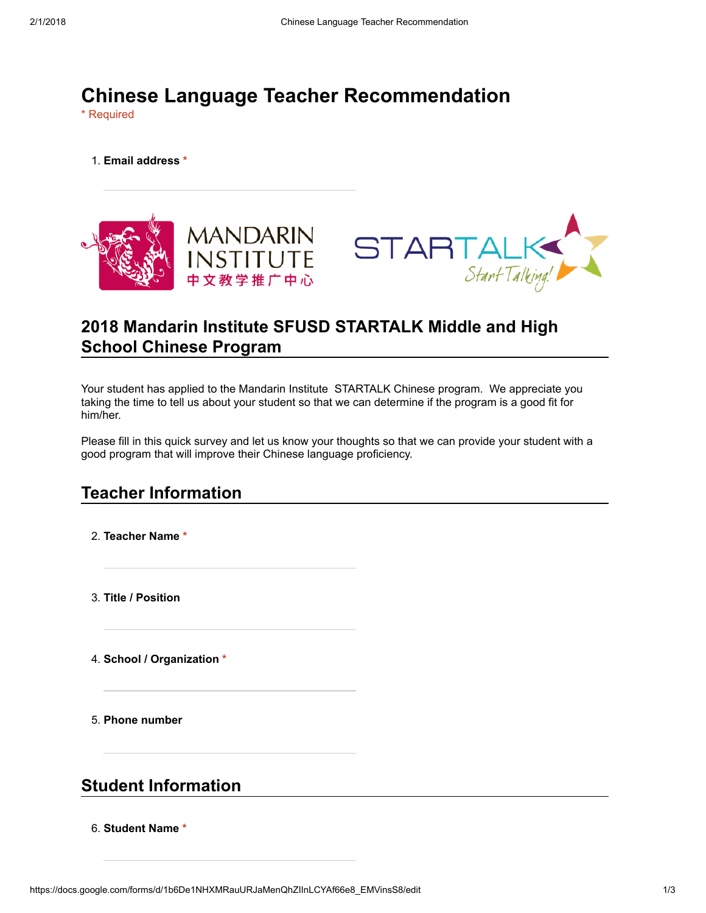# Chinese Language Teacher Recommendation

\* Required

1. Email address \*



# 2018 Mandarin Institute SFUSD STARTALK Middle and High School Chinese Program

Your student has applied to the Mandarin Institute STARTALK Chinese program. We appreciate you taking the time to tell us about your student so that we can determine if the program is a good fit for him/her.

Please fill in this quick survey and let us know your thoughts so that we can provide your student with a good program that will improve their Chinese language proficiency.

## Teacher Information

2. Teacher Name \*

3. Title / Position

4. School / Organization \*

5. Phone number

### Student Information

6. Student Name \*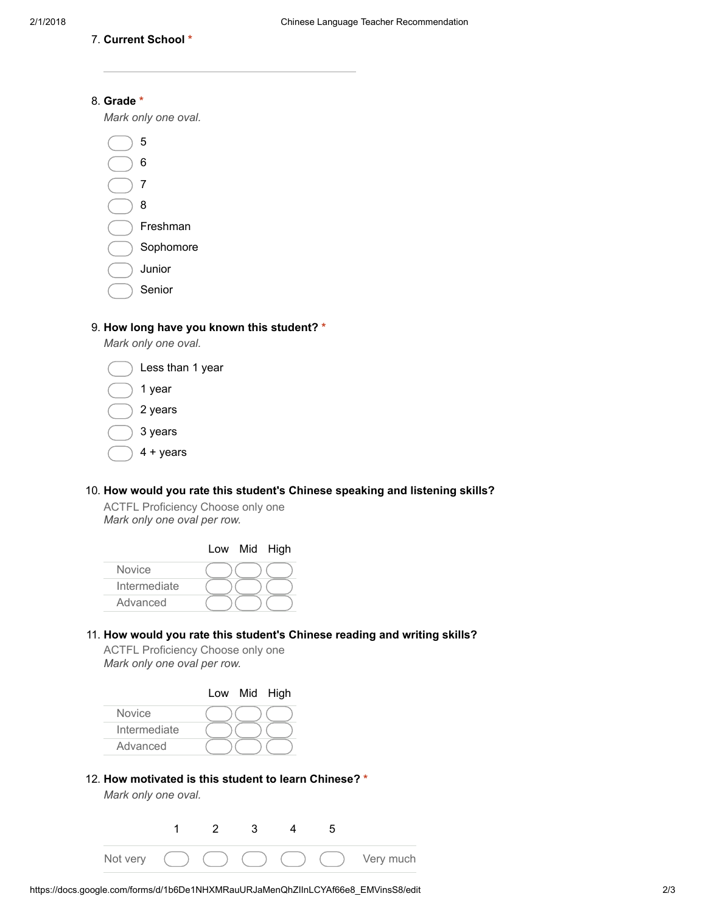7. Current School \*

#### 8. Grade \*

Mark only one oval.

5 6 7 8 Freshman Sophomore Junior Senior

#### 9. How long have you known this student? \*

Mark only one oval.



#### 10. How would you rate this student's Chinese speaking and listening skills?

ACTFL Proficiency Choose only one Mark only one oval per row.

|               |  | Low Mid High |
|---------------|--|--------------|
| <b>Novice</b> |  |              |
| Intermediate  |  |              |
| Advanced      |  |              |

#### 11. How would you rate this student's Chinese reading and writing skills?

ACTFL Proficiency Choose only one Mark only one oval per row.



#### 12. How motivated is this student to learn Chinese? \*

Mark only one oval.